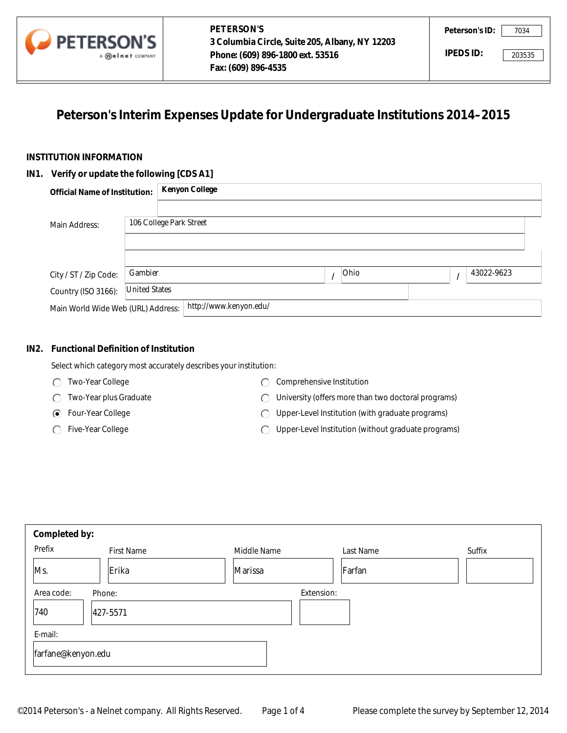

# **Peterson's Interim Expenses Update for Undergraduate Institutions 2014–2015**

### **INSTITUTION INFORMATION**

#### **IN1. Verify or update the following [CDS A1]**

|                                                                             | A <b>Meinet</b> COMPANY | Phone: (609) 896-1800 ext. 53516<br>Fax: (609) 896-4535 |      | IPEDS ID: |            | 203535 |
|-----------------------------------------------------------------------------|-------------------------|---------------------------------------------------------|------|-----------|------------|--------|
| Peterson's Interim Expenses Update for Undergraduate Institutions 2014-2015 |                         |                                                         |      |           |            |        |
| <b>TITUTION INFORMATION</b>                                                 |                         |                                                         |      |           |            |        |
| . Verify or update the following [CDS A1]                                   |                         |                                                         |      |           |            |        |
| <b>Official Name of Institution:</b>                                        |                         | <b>Kenyon College</b>                                   |      |           |            |        |
|                                                                             |                         |                                                         |      |           |            |        |
| Main Address:                                                               |                         | 106 College Park Street                                 |      |           |            |        |
|                                                                             |                         |                                                         |      |           |            |        |
|                                                                             |                         |                                                         |      |           |            |        |
| City / ST / Zip Code:                                                       | Gambier                 |                                                         | Ohio | $\prime$  | 43022-9623 |        |
| Country (ISO 3166):                                                         | <b>United States</b>    |                                                         |      |           |            |        |
| Main World Wide Web (URL) Address:                                          |                         | http://www.kenyon.edu/                                  |      |           |            |        |

### **IN2. Functional Definition of Institution**

- Two-Year College
- Two-Year plus Graduate
- Four-Year College
- ◯ Five-Year College
- C Comprehensive Institution
- University (offers more than two doctoral programs)
- Upper-Level Institution (with graduate programs)
- Upper-Level Institution (without graduate programs)  $\bigcap$

|         | Main Address:                               | 106 College Park Street |                                                                        |                                                                                                         |           |          |            |
|---------|---------------------------------------------|-------------------------|------------------------------------------------------------------------|---------------------------------------------------------------------------------------------------------|-----------|----------|------------|
|         | City / ST / Zip Code:                       | Gambier                 |                                                                        | I                                                                                                       | Ohio      | $\prime$ | 43022-9623 |
|         | Country (ISO 3166):                         | <b>United States</b>    |                                                                        |                                                                                                         |           |          |            |
|         | Main World Wide Web (URL) Address:          |                         | http://www.kenyon.edu/                                                 |                                                                                                         |           |          |            |
| IN2.    | <b>Functional Definition of Institution</b> |                         |                                                                        |                                                                                                         |           |          |            |
|         | Two-Year College                            |                         | Select which category most accurately describes your institution:<br>◯ | Comprehensive Institution                                                                               |           |          |            |
|         | Two-Year plus Graduate                      |                         | C                                                                      |                                                                                                         |           |          |            |
|         | Four-Year College<br>⊙                      |                         | €                                                                      | University (offers more than two doctoral programs)<br>Upper-Level Institution (with graduate programs) |           |          |            |
|         | Five-Year College                           |                         | Upper-Level Institution (without graduate programs)<br>C               |                                                                                                         |           |          |            |
|         |                                             |                         |                                                                        |                                                                                                         |           |          |            |
|         | Completed by:                               |                         |                                                                        |                                                                                                         |           |          |            |
| Prefix  |                                             | <b>First Name</b>       | Middle Name                                                            |                                                                                                         | Last Name |          | Suffix     |
| Ms.     | Erika                                       |                         | Marissa                                                                |                                                                                                         | Farfan    |          | ▼          |
|         | Area code:<br>Phone:                        |                         |                                                                        | Extension:                                                                                              |           |          |            |
| 740     | 427-5571                                    |                         |                                                                        |                                                                                                         |           |          |            |
| E-mail: |                                             |                         |                                                                        |                                                                                                         |           |          |            |
|         | farfane@kenyon.edu                          |                         |                                                                        |                                                                                                         |           |          |            |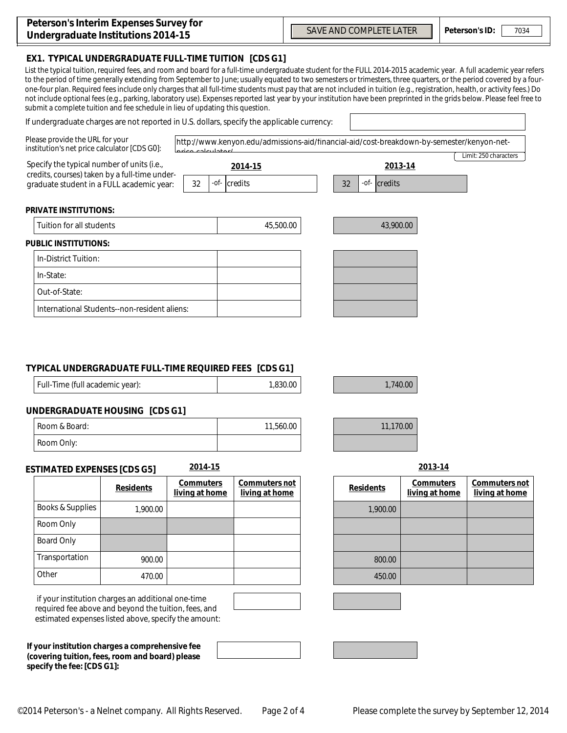| Peterson's Interim Expenses Survey for |
|----------------------------------------|
| Undergraduate Institutions 2014-15     |

## **EX1. TYPICAL UNDERGRADUATE FULL-TIME TUITION [CDS G1]**

List the typical tuition, required fees, and room and board for a full-time undergraduate student for the FULL 2014-2015 academic year. A full academic year refers to the period of time generally extending from September to June; usually equated to two semesters or trimesters, three quarters, or the period covered by a fourone-four plan. Required fees include only charges that all full-time students must pay that are not included in tuition (e.g., registration, health, or activity fees.) Do not include optional fees (e.g., parking, laboratory use). Expenses reported last year by your institution have been preprinted in the grids below. Please feel free to submit a complete tuition and fee schedule in lieu of updating this question.

#### If undergraduate charges are not reported in U.S. dollars, specify the applicable currency:

| Please provide the URL for your            | http://www.kenyon.edu/admissions-aid/financial-aid/cost-breakdown-by-semester/kenyon-net-<br>institution's net price calculator [CDS G0]:<br>coloulate |                                    |         |                                 |           |                  |                                    |                              |
|--------------------------------------------|--------------------------------------------------------------------------------------------------------------------------------------------------------|------------------------------------|---------|---------------------------------|-----------|------------------|------------------------------------|------------------------------|
| Specify the typical number of units (i.e., |                                                                                                                                                        |                                    | 2014-15 |                                 | 2013-14   |                  |                                    | Limit: 250 characters        |
|                                            | credits, courses) taken by a full-time under-<br>graduate student in a FULL academic year:                                                             | 32                                 |         | -of- credits                    | 32        | -of- credits     |                                    |                              |
| <b>PRIVATE INSTITUTIONS:</b>               |                                                                                                                                                        |                                    |         |                                 |           |                  |                                    |                              |
| Tuition for all students                   |                                                                                                                                                        |                                    |         | 45,500.00                       |           | 43,900.00        |                                    |                              |
| <b>PUBLIC INSTITUTIONS:</b>                |                                                                                                                                                        |                                    |         |                                 |           |                  |                                    |                              |
| In-District Tuition:                       |                                                                                                                                                        |                                    |         |                                 |           |                  |                                    |                              |
| In-State:                                  |                                                                                                                                                        |                                    |         |                                 |           |                  |                                    |                              |
| Out-of-State:                              |                                                                                                                                                        |                                    |         |                                 |           |                  |                                    |                              |
|                                            | International Students--non-resident aliens:                                                                                                           |                                    |         |                                 |           |                  |                                    |                              |
| Full-Time (full academic year):            | TYPICAL UNDERGRADUATE FULL-TIME REQUIRED FEES [CDS G1]<br><b>UNDERGRADUATE HOUSING [CDS G1]</b>                                                        |                                    |         | 1,830.00                        |           | 1,740.00         |                                    |                              |
| Room & Board:                              |                                                                                                                                                        |                                    |         | 11,560.00                       | 11,170.00 |                  |                                    |                              |
| Room Only:                                 |                                                                                                                                                        |                                    |         |                                 |           |                  |                                    |                              |
| <b>ESTIMATED EXPENSES [CDS G5]</b>         |                                                                                                                                                        | 2014-15                            |         |                                 |           |                  | 2013-14                            |                              |
|                                            | <b>Residents</b>                                                                                                                                       | <b>Commuters</b><br>living at home |         | Commuters not<br>living at home |           | <b>Residents</b> | <b>Commuters</b><br>living at home | Commuters n<br>living at hom |
| <b>Books &amp; Supplies</b>                | 1,900.00                                                                                                                                               |                                    |         |                                 |           | 1,900.00         |                                    |                              |
| Room Only                                  |                                                                                                                                                        |                                    |         |                                 |           |                  |                                    |                              |
| <b>Board Only</b>                          |                                                                                                                                                        |                                    |         |                                 |           |                  |                                    |                              |
| Transportation                             | 900.00                                                                                                                                                 |                                    |         |                                 |           | 800.00           |                                    |                              |
| Other                                      | 470.00                                                                                                                                                 |                                    |         |                                 |           | 450.00           |                                    |                              |

## **TYPICAL UNDERGRADUATE FULL-TIME REQUIRED FEES [CDS G1]**

| Full-Time (full academic year): | 1,830.00 |
|---------------------------------|----------|
|                                 |          |

## **UNDERGRADUATE HOUSING [CDS G1]**

| Room & Board: | 11,560.00 |
|---------------|-----------|
| Room Only:    |           |

#### **ESTIMATED EXPENSES [CDS G5] 2014-15 2013-14**

|                  |                  | <b>Commuters</b> | Commuters not  |                  |
|------------------|------------------|------------------|----------------|------------------|
|                  | <b>Residents</b> | living at home   | living at home | <b>Residents</b> |
| Books & Supplies | 1,900.00         |                  |                | 1,900.00         |
| Room Only        |                  |                  |                |                  |
| Board Only       |                  |                  |                |                  |
| Transportation   | 900.00           |                  |                | 800.00           |
| Other            | 470.00           |                  |                | 450.00           |

 if your institution charges an additional one-time required fee above and beyond the tuition, fees, and estimated expenses listed above, specify the amount:

**If your institution charges a comprehensive fee (covering tuition, fees, room and board) please specify the fee: [CDS G1]:**

| Commuters not<br>living at home | <b>Residents</b> | <b>Commuters</b><br>living at home | Commuters not<br>living at home |
|---------------------------------|------------------|------------------------------------|---------------------------------|
|                                 | 1,900.00         |                                    |                                 |
|                                 |                  |                                    |                                 |
|                                 |                  |                                    |                                 |
|                                 | 800.00           |                                    |                                 |
|                                 | 450.00           |                                    |                                 |





 $\overline{\phantom{0}}$ 



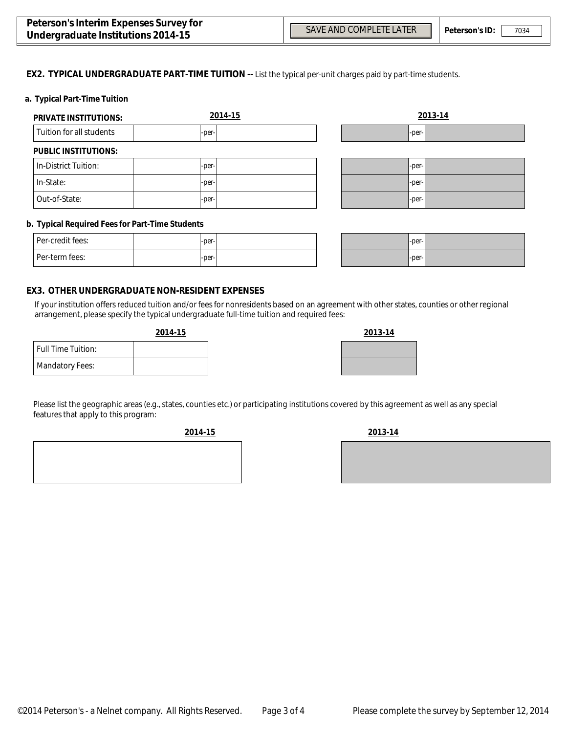$\blacktriangledown$ 

 $\overline{\phantom{0}}$ 

#### **EX2. TYPICAL UNDERGRADUATE PART-TIME TUITION --** List the typical per-unit charges paid by part-time students.

#### **a. Typical Part-Time Tuition**

| <b>PRIVATE INSTITUTIONS:</b> | 2014-15 |   | 2013-14 |
|------------------------------|---------|---|---------|
| Tuition for all students     | -per-   |   | -per-   |
| <b>PUBLIC INSTITUTIONS:</b>  |         |   |         |
| In-District Tuition:         | -per-   |   | -per-   |
| In-State:                    | -per-   |   | -per-   |
| Out-of-State:                | -per-   | ▼ | -per-   |

#### **b. Typical Required Fees for Part-Time Students**

| Per-credit fees: | $-per-$ |  |
|------------------|---------|--|
| l Per-term fees: | $-per-$ |  |

| $-per-$ | Ш |
|---------|---|
| $-per-$ | ı |

#### **EX3. OTHER UNDERGRADUATE NON-RESIDENT EXPENSES**

If your institution offers reduced tuition and/or fees for nonresidents based on an agreement with other states, counties or other regional arrangement, please specify the typical undergraduate full-time tuition and required fees:

| 2014-15 | 2013-14 |
|---------|---------|
|         |         |
|         |         |

|                           | 2017-19 |
|---------------------------|---------|
| <b>Full Time Tuition:</b> |         |
| <b>Mandatory Fees:</b>    |         |
|                           |         |

Please list the geographic areas (e.g., states, counties etc.) or participating institutions covered by this agreement as well as any special features that apply to this program:

**2014-15 2013-14**